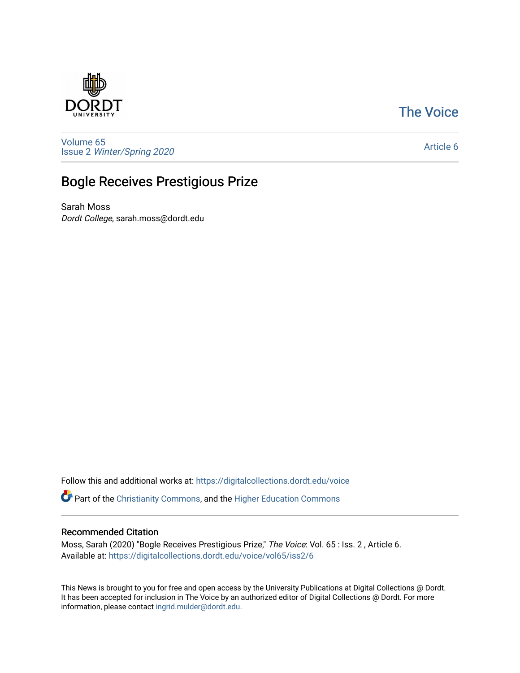## [The Voice](https://digitalcollections.dordt.edu/voice)



[Volume 65](https://digitalcollections.dordt.edu/voice/vol65) Issue 2 [Winter/Spring 2020](https://digitalcollections.dordt.edu/voice/vol65/iss2) 

### [Article 6](https://digitalcollections.dordt.edu/voice/vol65/iss2/6)

## Bogle Receives Prestigious Prize

Sarah Moss Dordt College, sarah.moss@dordt.edu

Follow this and additional works at: [https://digitalcollections.dordt.edu/voice](https://digitalcollections.dordt.edu/voice?utm_source=digitalcollections.dordt.edu%2Fvoice%2Fvol65%2Fiss2%2F6&utm_medium=PDF&utm_campaign=PDFCoverPages) 

Part of the [Christianity Commons,](http://network.bepress.com/hgg/discipline/1181?utm_source=digitalcollections.dordt.edu%2Fvoice%2Fvol65%2Fiss2%2F6&utm_medium=PDF&utm_campaign=PDFCoverPages) and the [Higher Education Commons](http://network.bepress.com/hgg/discipline/1245?utm_source=digitalcollections.dordt.edu%2Fvoice%2Fvol65%2Fiss2%2F6&utm_medium=PDF&utm_campaign=PDFCoverPages) 

#### Recommended Citation

Moss, Sarah (2020) "Bogle Receives Prestigious Prize," The Voice: Vol. 65 : Iss. 2 , Article 6. Available at: [https://digitalcollections.dordt.edu/voice/vol65/iss2/6](https://digitalcollections.dordt.edu/voice/vol65/iss2/6?utm_source=digitalcollections.dordt.edu%2Fvoice%2Fvol65%2Fiss2%2F6&utm_medium=PDF&utm_campaign=PDFCoverPages)

This News is brought to you for free and open access by the University Publications at Digital Collections @ Dordt. It has been accepted for inclusion in The Voice by an authorized editor of Digital Collections @ Dordt. For more information, please contact [ingrid.mulder@dordt.edu.](mailto:ingrid.mulder@dordt.edu)